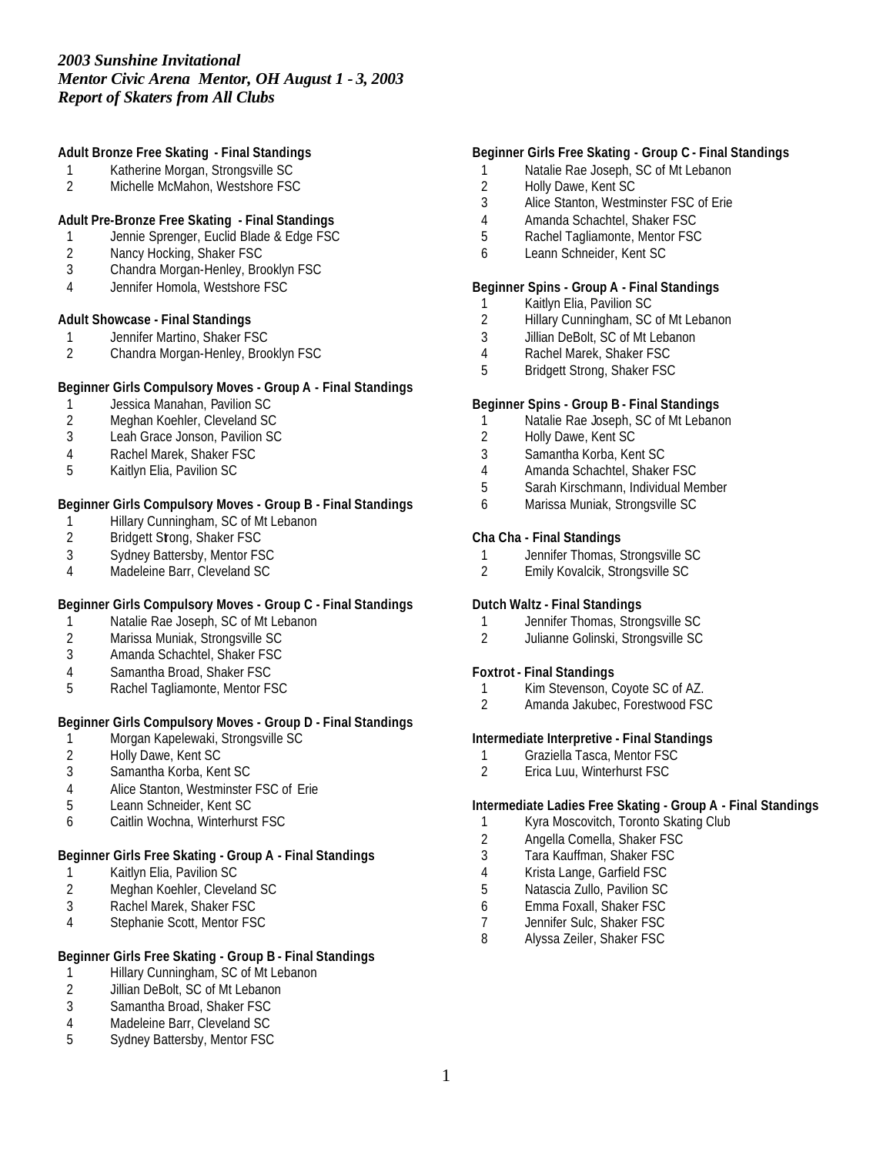## **Adult Bronze Free Skating - Final Standings**

- 1 Katherine Morgan, Strongsville SC<br>2 Michelle McMahon, Westshore FS
- Michelle McMahon, Westshore FSC

# **Adult Pre-Bronze Free Skating - Final Standings**

- 1 Jennie Sprenger, Euclid Blade & Edge FSC<br>2 Nancy Hocking, Shaker FSC
- 2 Nancy Hocking, Shaker FSC<br>3 Chandra Morgan-Henley, Brc
- 3 Chandra Morgan-Henley, Brooklyn FSC
- 4 Jennifer Homola, Westshore FSC

#### **Adult Showcase - Final Standings**

- 1 Jennifer Martino, Shaker FSC<br>2 Chandra Morgan-Henley, Broc
- 2 Chandra Morgan-Henley, Brooklyn FSC

### **Beginner Girls Compulsory Moves - Group A - Final Standings**

- 1 Jessica Manahan, Pavilion SC<br>2 Meghan Koehler, Cleveland SC
- 2 Meghan Koehler, Cleveland SC
- 3 Leah Grace Jonson, Pavilion SC
- 4 Rachel Marek, Shaker FSC
- 5 Kaitlyn Elia, Pavilion SC

### **Beginner Girls Compulsory Moves - Group B - Final Standings**

- 1 Hillary Cunningham, SC of Mt Lebanon<br>2 Bridgett Stong, Shaker FSC
- Bridgett Strong, Shaker FSC
- 3 Sydney Battersby, Mentor FSC
- 4 Madeleine Barr, Cleveland SC

### **Beginner Girls Compulsory Moves - Group C - Final Standings**

- 1 Natalie Rae Joseph, SC of Mt Lebanon<br>2 Marissa Muniak, Strongsville SC
- 2 Marissa Muniak, Strongsville SC<br>3 Amanda Schachtel, Shaker FSC
- Amanda Schachtel, Shaker FSC
- 4 Samantha Broad, Shaker FSC
- 5 Rachel Tagliamonte, Mentor FSC

# **Beginner Girls Compulsory Moves - Group D - Final Standings**

- 1 Morgan Kapelewaki, Strongsville SC<br>2 Holly Dawe, Kent SC
- 2 Holly Dawe, Kent SC<br>3 Samantha Korba, Ker
- 3 Samantha Korba, Kent SC
- 4 Alice Stanton, Westminster FSC of Erie
- 5 Leann Schneider, Kent SC
- 6 Caitlin Wochna, Winterhurst FSC

# **Beginner Girls Free Skating - Group A - Final Standings**

- 1 Kaitlyn Elia, Pavilion SC
- 2 Meghan Koehler, Cleveland SC<br>3 Rachel Marek, Shaker FSC
- Rachel Marek, Shaker FSC
- 4 Stephanie Scott, Mentor FSC

### **Beginner Girls Free Skating - Group B - Final Standings**

- 1 Hillary Cunningham, SC of Mt Lebanon<br>2 Jillian DeBolt, SC of Mt Lebanon
- Jillian DeBolt, SC of Mt Lebanon
- 3 Samantha Broad, Shaker FSC
- 4 Madeleine Barr, Cleveland SC
- 5 Sydney Battersby, Mentor FSC

# **Beginner Girls Free Skating - Group C - Final Standings**

- 1 Natalie Rae Joseph, SC of Mt Lebanon
- 2 Holly Dawe, Kent SC<br>3 Alice Stanton. Westm
- Alice Stanton, Westminster FSC of Erie
- 4 Amanda Schachtel, Shaker FSC
- 5 Rachel Tagliamonte, Mentor FSC
- 6 Leann Schneider, Kent SC

#### **Beginner Spins - Group A - Final Standings**

- 1 Kaitlyn Elia, Pavilion SC
- 2 Hillary Cunningham, SC of Mt Lebanon
- 3 Jillian DeBolt, SC of Mt Lebanon
- 4 Rachel Marek, Shaker FSC
- 5 Bridgett Strong, Shaker FSC

#### **Beginner Spins - Group B - Final Standings**

- 1 Natalie Rae Joseph, SC of Mt Lebanon
- 2 Holly Dawe, Kent SC
- 3 Samantha Korba, Kent SC
- 4 Amanda Schachtel, Shaker FSC
- 5 Sarah Kirschmann, Individual Member
- 6 Marissa Muniak, Strongsville SC

## **Cha Cha - Final Standings**

- 1 Jennifer Thomas, Strongsville SC<br>2 Emily Kovalcik, Strongsville SC
- 2 Emily Kovalcik, Strongsville SC

# **Dutch Waltz - Final Standings**

- 1 Jennifer Thomas, Strongsville SC<br>2 Julianne Golinski, Strongsville SC
- 2 Julianne Golinski, Strongsville SC

#### **Foxtrot - Final Standings**

- 1 Kim Stevenson, Coyote SC of AZ.
- 2 Amanda Jakubec, Forestwood FSC

### **Intermediate Interpretive - Final Standings**

- 1 Graziella Tasca, Mentor FSC<br>2 Erica Luu, Winterhurst FSC
- 2 Erica Luu, Winterhurst FSC

### **Intermediate Ladies Free Skating - Group A - Final Standings**

- 1 Kyra Moscovitch, Toronto Skating Club
- 2 Angella Comella, Shaker FSC
- 3 Tara Kauffman, Shaker FSC
- 4 Krista Lange, Garfield FSC
- 5 Natascia Zullo, Pavilion SC
- 6 Emma Foxall, Shaker FSC
- 7 Jennifer Sulc, Shaker FSC<br>8 Alvssa Zeiler, Shaker FSC
- Alyssa Zeiler, Shaker FSC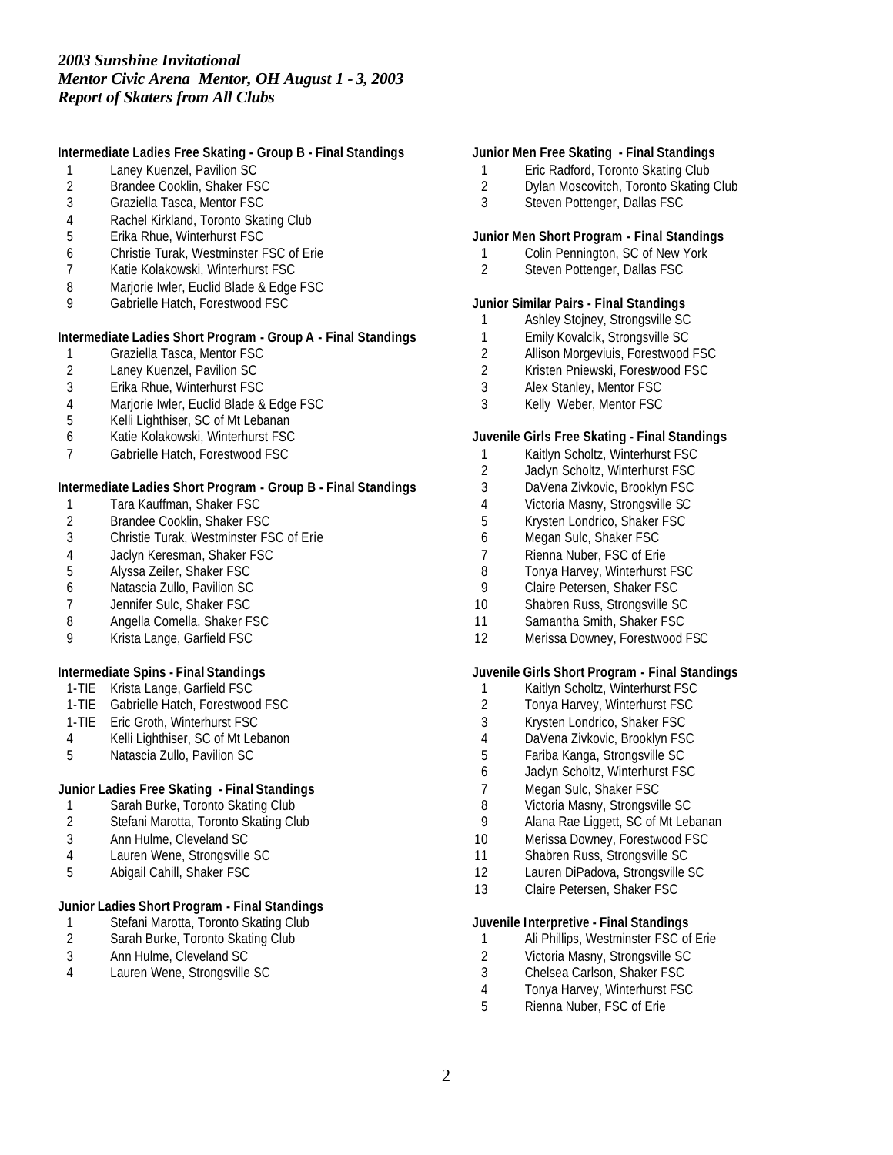# **Intermediate Ladies Free Skating - Group B - Final Standings**

- 1 Laney Kuenzel, Pavilion SC<br>2 Brandee Cooklin, Shaker FS
- 2 Brandee Cooklin, Shaker FSC<br>3 Graziella Tasca, Mentor FSC
- Graziella Tasca, Mentor FSC
- Rachel Kirkland, Toronto Skating Club
- Erika Rhue, Winterhurst FSC
- Christie Turak, Westminster FSC of Erie
- Katie Kolakowski, Winterhurst FSC
- 8 Marjorie Iwler, Euclid Blade & Edge FSC
- Gabrielle Hatch, Forestwood FSC

# **Intermediate Ladies Short Program - Group A - Final Standings**

- Graziella Tasca, Mentor FSC
- Laney Kuenzel, Pavilion SC
- Erika Rhue, Winterhurst FSC
- Marjorie Iwler, Euclid Blade & Edge FSC
- Kelli Lighthiser, SC of Mt Lebanan
- Katie Kolakowski, Winterhurst FSC
- Gabrielle Hatch, Forestwood FSC

### **Intermediate Ladies Short Program - Group B - Final Standings**

- Tara Kauffman, Shaker FSC
- 2 Brandee Cooklin, Shaker FSC<br>3 Christie Turak, Westminster FS
- Christie Turak, Westminster FSC of Erie
- Jaclyn Keresman, Shaker FSC
- Alyssa Zeiler, Shaker FSC
- Natascia Zullo, Pavilion SC
- Jennifer Sulc, Shaker FSC
- 8 Angella Comella, Shaker FSC<br>9 Krista Lange, Garfield FSC
- Krista Lange, Garfield FSC

# **Intermediate Spins - Final Standings**

- 1-TIE Krista Lange, Garfield FSC
- 1-TIE Gabrielle Hatch, Forestwood FSC
- 1-TIE Eric Groth, Winterhurst FSC
- Kelli Lighthiser, SC of Mt Lebanon
- Natascia Zullo, Pavilion SC

# **Junior Ladies Free Skating - Final Standings**

- Sarah Burke, Toronto Skating Club
- Stefani Marotta, Toronto Skating Club
- Ann Hulme, Cleveland SC
- Lauren Wene, Strongsville SC
- Abigail Cahill, Shaker FSC

# **Junior Ladies Short Program - Final Standings**

- 1 Stefani Marotta, Toronto Skating Club<br>2 Sarah Burke, Toronto Skating Club
- Sarah Burke, Toronto Skating Club
- Ann Hulme, Cleveland SC
- Lauren Wene, Strongsville SC

### **Junior Men Free Skating - Final Standings**

- 1 Eric Radford, Toronto Skating Club<br>2 Dylan Moscovitch, Toronto Skating
- 2 Dylan Moscovitch, Toronto Skating Club<br>3 Steven Pottenger, Dallas FSC
- Steven Pottenger, Dallas FSC

#### **Junior Men Short Program - Final Standings**

- 1 Colin Pennington, SC of New York<br>2 Steven Pottenaer, Dallas FSC
- Steven Pottenger, Dallas FSC

### **Junior Similar Pairs - Final Standings**

- Ashley Stojney, Strongsville SC
- 1 Emily Kovalcik, Strongsville SC<br>2 Allison Morgeviuis, Forestwood
- 2 Allison Morgeviuis, Forestwood FSC<br>2 Kristen Pniewski, Forestwood FSC
- Kristen Pniewski, Forestwood FSC
- Alex Stanley, Mentor FSC
- Kelly Weber, Mentor FSC

### **Juvenile Girls Free Skating - Final Standings**

- Kaitlyn Scholtz, Winterhurst FSC
- Jaclyn Scholtz, Winterhurst FSC
- DaVena Zivkovic, Brooklyn FSC
- Victoria Masny, Strongsville SC
- Krysten Londrico, Shaker FSC
- Megan Sulc, Shaker FSC
- 7 Rienna Nuber, FSC of Erie<br>8 Tonya Harvey, Winterhurst
- 8 Tonya Harvey, Winterhurst FSC<br>9 Claire Petersen, Shaker FSC
- Claire Petersen, Shaker FSC
- Shabren Russ, Strongsville SC
- 11 Samantha Smith, Shaker FSC
- Merissa Downey, Forestwood FSC

### **Juvenile Girls Short Program - Final Standings**

- Kaitlyn Scholtz, Winterhurst FSC
- Tonya Harvey, Winterhurst FSC
- Krysten Londrico, Shaker FSC
- DaVena Zivkovic, Brooklyn FSC
- Fariba Kanga, Strongsville SC
- Jaclyn Scholtz, Winterhurst FSC
- Megan Sulc, Shaker FSC
- Victoria Masny, Strongsville SC
- Alana Rae Liggett, SC of Mt Lebanan
- Merissa Downey, Forestwood FSC
- 11 Shabren Russ, Strongsville SC
- Lauren DiPadova, Strongsville SC
- Claire Petersen, Shaker FSC

#### **Juvenile Interpretive - Final Standings**

- Ali Phillips, Westminster FSC of Erie
- 2 Victoria Masny, Strongsville SC<br>3 Chelsea Carlson, Shaker FSC
- Chelsea Carlson, Shaker FSC
- Tonya Harvey, Winterhurst FSC
- Rienna Nuber, FSC of Erie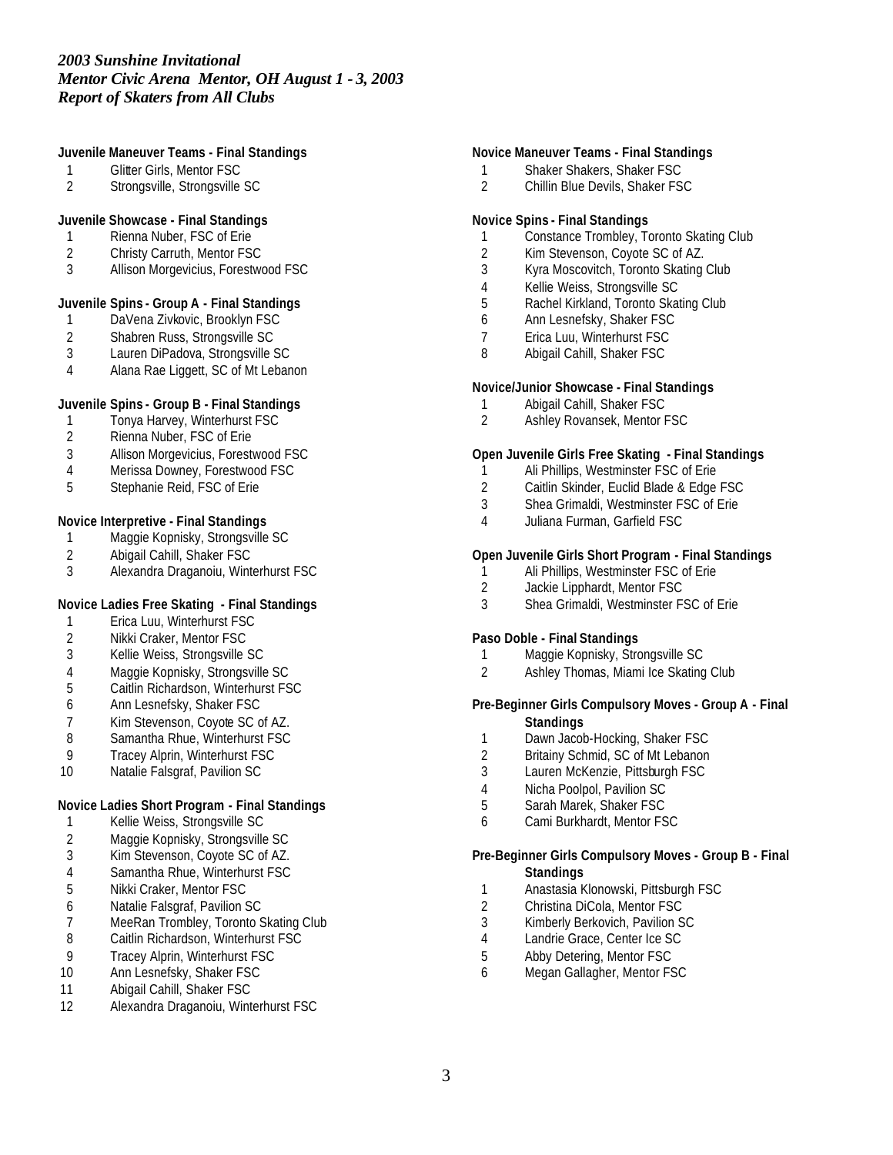# **Juvenile Maneuver Teams - Final Standings**

- Glitter Girls, Mentor FSC
- Strongsville, Strongsville SC

### **Juvenile Showcase - Final Standings**

- 1 Rienna Nuber, FSC of Erie<br>2 Christy Carruth, Mentor FS
- 2 Christy Carruth, Mentor FSC<br>3 Allison Morgevicius, Forestw
- Allison Morgevicius, Forestwood FSC

# **Juvenile Spins - Group A - Final Standings**

- DaVena Zivkovic, Brooklyn FSC
- 2 Shabren Russ, Strongsville SC<br>3 Lauren DiPadova, Strongsville 9
- Lauren DiPadova, Strongsville SC
- Alana Rae Liggett, SC of Mt Lebanon

# **Juvenile Spins - Group B - Final Standings**

- Tonya Harvey, Winterhurst FSC
- Rienna Nuber, FSC of Erie
- Allison Morgevicius, Forestwood FSC
- Merissa Downey, Forestwood FSC
- Stephanie Reid, FSC of Erie

# **Novice Interpretive - Final Standings**

- Maggie Kopnisky, Strongsville SC
- 2 Abigail Cahill, Shaker FSC<br>3 Alexandra Draganoiu, Wint
- Alexandra Draganoiu, Winterhurst FSC

# **Novice Ladies Free Skating - Final Standings**

- 1 Erica Luu, Winterhurst FSC<br>2 Nikki Craker, Mentor FSC
- 2 Nikki Craker, Mentor FSC<br>3 Kellie Weiss, Strongsville
- Kellie Weiss, Strongsville SC
- Maggie Kopnisky, Strongsville SC
- Caitlin Richardson, Winterhurst FSC
- Ann Lesnefsky, Shaker FSC
- 
- 7 Kim Stevenson, Coyote SC of AZ.<br>8 Samantha Rhue, Winterhurst FSC Samantha Rhue, Winterhurst FSC
- Tracey Alprin, Winterhurst FSC
- 10 Natalie Falsgraf, Pavilion SC

# **Novice Ladies Short Program - Final Standings**

- Kellie Weiss, Strongsville SC
- Maggie Kopnisky, Strongsville SC
- Kim Stevenson, Coyote SC of AZ.
- Samantha Rhue, Winterhurst FSC
- Nikki Craker, Mentor FSC
- Natalie Falsgraf, Pavilion SC
- 7 MeeRan Trombley, Toronto Skating Club<br>8 Caitlin Richardson, Winterhurst FSC
- Caitlin Richardson, Winterhurst FSC
- Tracey Alprin, Winterhurst FSC
- Ann Lesnefsky, Shaker FSC
- Abigail Cahill, Shaker FSC
- Alexandra Draganoiu, Winterhurst FSC

### **Novice Maneuver Teams - Final Standings**

- Shaker Shakers, Shaker FSC
- Chillin Blue Devils, Shaker FSC

# **Novice Spins - Final Standings**

- Constance Trombley, Toronto Skating Club
- 2 Kim Stevenson, Coyote SC of AZ.<br>3 Kvra Moscovitch, Toronto Skating
- Kyra Moscovitch, Toronto Skating Club
- Kellie Weiss, Strongsville SC
- Rachel Kirkland, Toronto Skating Club
- Ann Lesnefsky, Shaker FSC
- Erica Luu, Winterhurst FSC
- Abigail Cahill, Shaker FSC

### **Novice/Junior Showcase - Final Standings**

- Abigail Cahill, Shaker FSC
- Ashley Rovansek, Mentor FSC

### **Open Juvenile Girls Free Skating - Final Standings**

- Ali Phillips, Westminster FSC of Erie
- Caitlin Skinder, Euclid Blade & Edge FSC
- Shea Grimaldi, Westminster FSC of Erie
- Juliana Furman, Garfield FSC

### **Open Juvenile Girls Short Program - Final Standings**

- Ali Phillips, Westminster FSC of Erie
- Jackie Lipphardt, Mentor FSC
- Shea Grimaldi, Westminster FSC of Erie

### **Paso Doble - Final Standings**

- Maggie Kopnisky, Strongsville SC
- Ashley Thomas, Miami Ice Skating Club

### **Pre-Beginner Girls Compulsory Moves - Group A - Final Standings**

- 1 Dawn Jacob-Hocking, Shaker FSC
- Britainy Schmid, SC of Mt Lebanon
- Lauren McKenzie, Pittsburgh FSC
- Nicha Poolpol, Pavilion SC
- Sarah Marek, Shaker FSC
- Cami Burkhardt, Mentor FSC

#### **Pre-Beginner Girls Compulsory Moves - Group B - Final Standings**

- Anastasia Klonowski, Pittsburgh FSC
- Christina DiCola, Mentor FSC
- Kimberly Berkovich, Pavilion SC
- Landrie Grace, Center Ice SC
- Abby Detering, Mentor FSC
- Megan Gallagher, Mentor FSC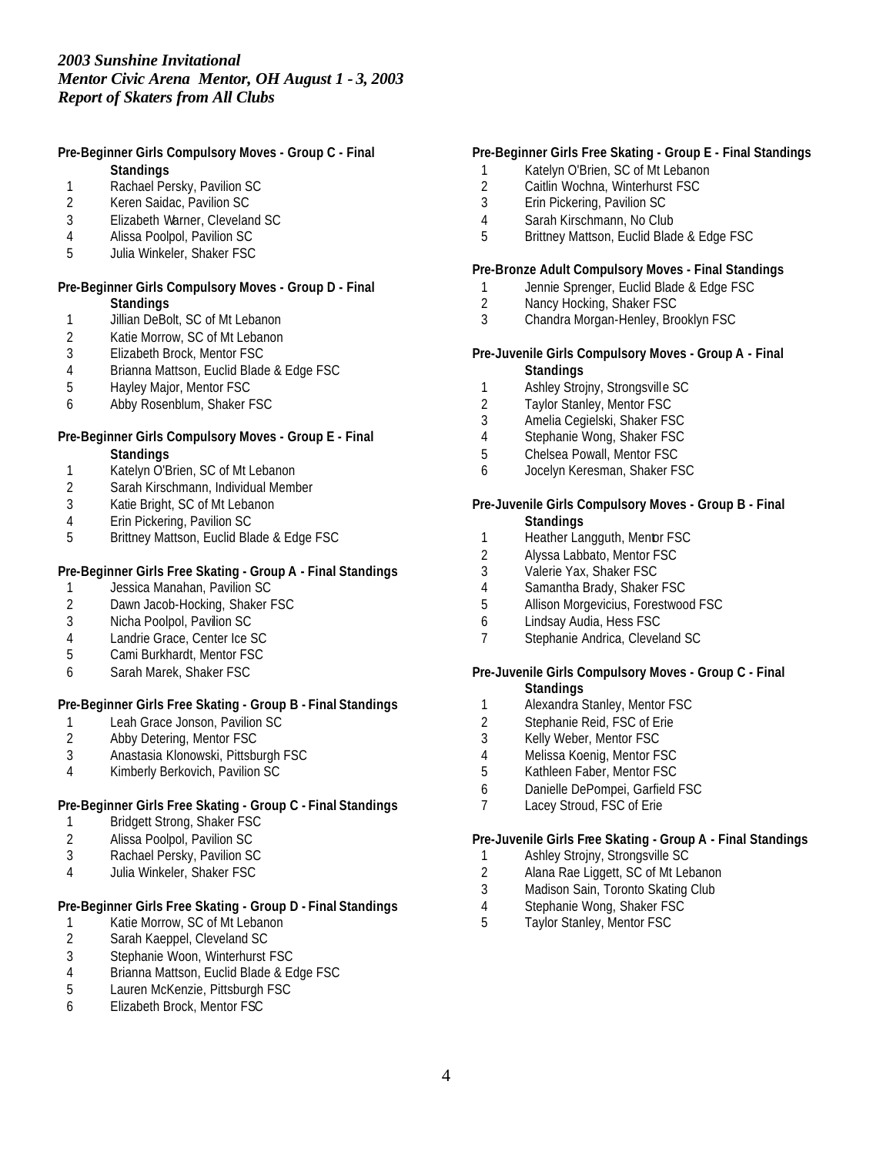### **Pre-Beginner Girls Compulsory Moves - Group C - Final Standings**

- 1 Rachael Persky, Pavilion SC<br>2 Keren Saidac, Pavilion SC
- 2 Keren Saidac, Pavilion SC
- 3 Elizabeth Warner, Cleveland SC
- 4 Alissa Poolpol, Pavilion SC
- 5 Julia Winkeler, Shaker FSC

### **Pre-Beginner Girls Compulsory Moves - Group D - Final Standings**

- 1 Jillian DeBolt, SC of Mt Lebanon
- 2 Katie Morrow, SC of Mt Lebanon<br>3 Elizabeth Brock, Mentor FSC
- Elizabeth Brock, Mentor FSC
- 4 Brianna Mattson, Euclid Blade & Edge FSC
- 5 Hayley Major, Mentor FSC
- 6 Abby Rosenblum, Shaker FSC

# **Pre-Beginner Girls Compulsory Moves - Group E - Final Standings**

- 1 Katelyn O'Brien, SC of Mt Lebanon
- 2 Sarah Kirschmann, Individual Member
- 3 Katie Bright, SC of Mt Lebanon
- 4 Erin Pickering, Pavilion SC<br>5 Brittnev Mattson, Euclid Bla
- 5 Brittney Mattson, Euclid Blade & Edge FSC

# **Pre-Beginner Girls Free Skating - Group A - Final Standings**

- 1 Jessica Manahan, Pavilion SC<br>2 Dawn Jacob-Hocking, Shaker I
- Dawn Jacob-Hocking, Shaker FSC
- 3 Nicha Poolpol, Pavilion SC
- 4 Landrie Grace, Center Ice SC
- 5 Cami Burkhardt, Mentor FSC
- 6 Sarah Marek, Shaker FSC

# **Pre-Beginner Girls Free Skating - Group B - Final Standings**

- 1 Leah Grace Jonson, Pavilion SC<br>2 Abby Detering, Mentor FSC
- Abby Detering, Mentor FSC
- 3 Anastasia Klonowski, Pittsburgh FSC
- 4 Kimberly Berkovich, Pavilion SC

# **Pre-Beginner Girls Free Skating - Group C - Final Standings**

- 1 Bridgett Strong, Shaker FSC
- 2 Alissa Poolpol, Pavilion SC
- 3 Rachael Persky, Pavilion SC
- 4 Julia Winkeler, Shaker FSC

# **Pre-Beginner Girls Free Skating - Group D - Final Standings**

- 1 Katie Morrow, SC of Mt Lebanon<br>2 Sarah Kaeppel, Cleveland SC
- 2 Sarah Kaeppel, Cleveland SC
- 3 Stephanie Woon, Winterhurst FSC<br>4 Brianna Mattson, Euclid Blade & Equation
- 4 Brianna Mattson, Euclid Blade & Edge FSC<br>5 Lauren McKenzie, Pittsburgh FSC
- 5 Lauren McKenzie, Pittsburgh FSC
- 6 Elizabeth Brock, Mentor FSC

# **Pre-Beginner Girls Free Skating - Group E - Final Standings**

- 1 Katelyn O'Brien, SC of Mt Lebanon
- 2 Caitlin Wochna, Winterhurst FSC<br>3 Erin Pickering, Pavilion SC
- Erin Pickering, Pavilion SC
- 4 Sarah Kirschmann, No Club
- 5 Brittney Mattson, Euclid Blade & Edge FSC

# **Pre-Bronze Adult Compulsory Moves - Final Standings**

- 1 Jennie Sprenger, Euclid Blade & Edge FSC
- 2 Nancy Hocking, Shaker FSC
- 3 Chandra Morgan-Henley, Brooklyn FSC

### **Pre-Juvenile Girls Compulsory Moves - Group A - Final Standings**

- 1 Ashley Strojny, Strongsville SC
- 2 Taylor Stanley, Mentor FSC
- 3 Amelia Cegielski, Shaker FSC
- 4 Stephanie Wong, Shaker FSC
- 5 Chelsea Powall, Mentor FSC
- 6 Jocelyn Keresman, Shaker FSC

#### **Pre-Juvenile Girls Compulsory Moves - Group B - Final Standings**

- 1 Heather Langguth, Mentor FSC
- 2 Alyssa Labbato, Mentor FSC
- 3 Valerie Yax, Shaker FSC
- 4 Samantha Brady, Shaker FSC
- 5 Allison Morgevicius, Forestwood FSC
- 6 Lindsay Audia, Hess FSC
- 7 Stephanie Andrica, Cleveland SC

#### **Pre-Juvenile Girls Compulsory Moves - Group C - Final Standings**

- 1 Alexandra Stanley, Mentor FSC
- 
- 2 Stephanie Reid, FSC of Erie<br>3 Kelly Weber, Mentor FSC Kelly Weber, Mentor FSC
- 4 Melissa Koenig, Mentor FSC
- 5 Kathleen Faber, Mentor FSC
- 6 Danielle DePompei, Garfield FSC
- 7 Lacey Stroud, FSC of Erie

# **Pre-Juvenile Girls Free Skating - Group A - Final Standings**

- 1 Ashley Strojny, Strongsville SC
- 2 Alana Rae Liggett, SC of Mt Lebanon
- 3 Madison Sain, Toronto Skating Club
- 4 Stephanie Wong, Shaker FSC<br>5 Tavlor Stanlev, Mentor FSC
- Taylor Stanley, Mentor FSC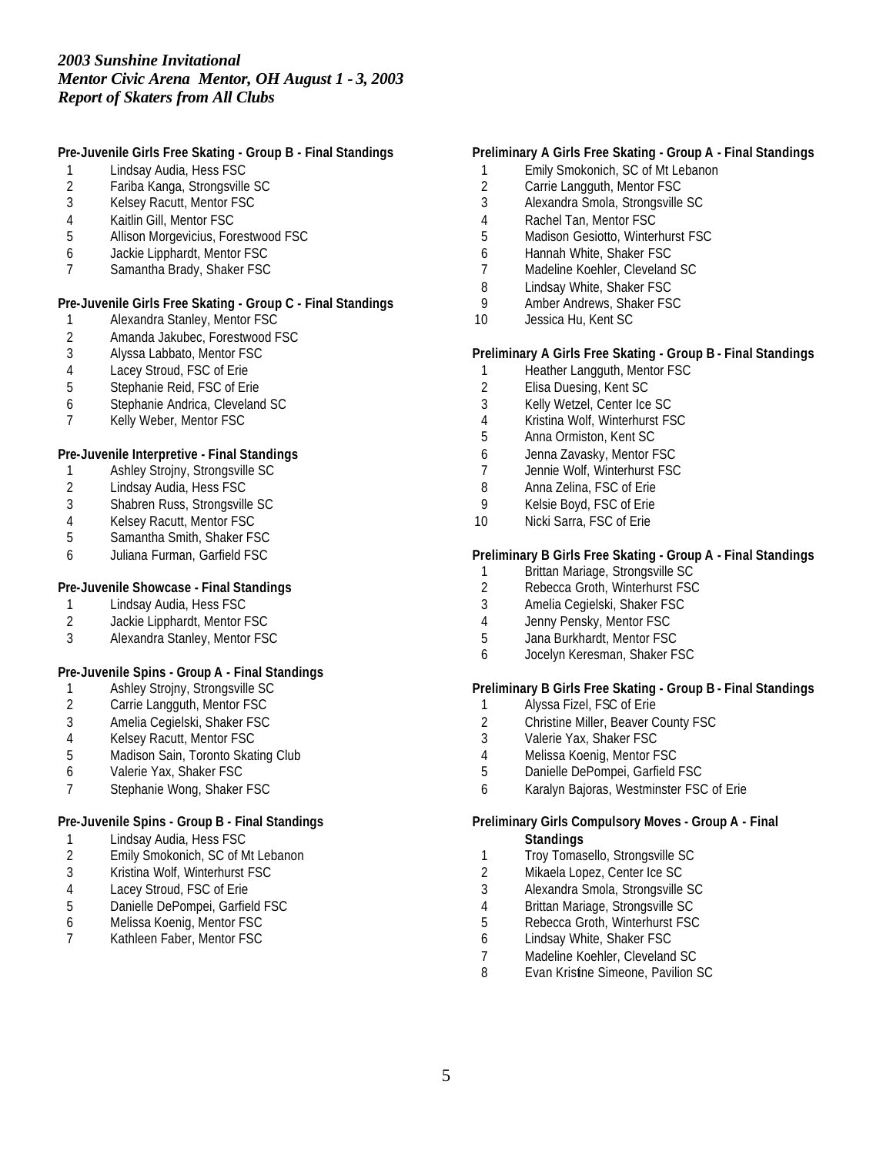# **Pre-Juvenile Girls Free Skating - Group B - Final Standings**

- Lindsay Audia, Hess FSC
- 2 Fariba Kanga, Strongsville SC<br>3 Kelsev Racutt. Mentor FSC
- Kelsey Racutt, Mentor FSC
- Kaitlin Gill, Mentor FSC
- Allison Morgevicius, Forestwood FSC
- Jackie Lipphardt, Mentor FSC
- Samantha Brady, Shaker FSC

### **Pre-Juvenile Girls Free Skating - Group C - Final Standings**

- Alexandra Stanley, Mentor FSC
- 2 Amanda Jakubec, Forestwood FSC<br>3 Alyssa Labbato, Mentor FSC
- Alyssa Labbato, Mentor FSC
- Lacey Stroud, FSC of Erie
- Stephanie Reid, FSC of Erie
- Stephanie Andrica, Cleveland SC
- Kelly Weber, Mentor FSC

# **Pre-Juvenile Interpretive - Final Standings**

- Ashley Strojny, Strongsville SC
- Lindsay Audia, Hess FSC
- 3 Shabren Russ, Strongsville SC<br>4 Kelsey Racutt, Mentor FSC
- 4 Kelsey Racutt, Mentor FSC<br>5 Samantha Smith, Shaker FS
- Samantha Smith, Shaker FSC
- Juliana Furman, Garfield FSC

# **Pre-Juvenile Showcase - Final Standings**

- Lindsay Audia, Hess FSC
- 2 Jackie Lipphardt, Mentor FSC<br>3 Alexandra Stanlev, Mentor FSC
- Alexandra Stanley, Mentor FSC

# **Pre-Juvenile Spins - Group A - Final Standings**

- Ashley Strojny, Strongsville SC
- Carrie Langguth, Mentor FSC
- Amelia Cegielski, Shaker FSC
- Kelsey Racutt, Mentor FSC
- Madison Sain, Toronto Skating Club
- Valerie Yax, Shaker FSC
- Stephanie Wong, Shaker FSC

# **Pre-Juvenile Spins - Group B - Final Standings**

- Lindsay Audia, Hess FSC
- Emily Smokonich, SC of Mt Lebanon
- Kristina Wolf, Winterhurst FSC
- Lacey Stroud, FSC of Erie
- 5 Danielle DePompei, Garfield FSC<br>6 Melissa Koenig, Mentor FSC
- Melissa Koenig, Mentor FSC
- Kathleen Faber, Mentor FSC

# **Preliminary A Girls Free Skating - Group A - Final Standings**

- Emily Smokonich, SC of Mt Lebanon
- 2 Carrie Langguth, Mentor FSC<br>3 Alexandra Smola, Strongsville
- Alexandra Smola, Strongsville SC
- Rachel Tan, Mentor FSC
- Madison Gesiotto, Winterhurst FSC
- Hannah White, Shaker FSC
- Madeline Koehler, Cleveland SC
- Lindsay White, Shaker FSC
- Amber Andrews, Shaker FSC
- Jessica Hu, Kent SC

### **Preliminary A Girls Free Skating - Group B - Final Standings**

- 1 Heather Langguth, Mentor FSC
- Elisa Duesing, Kent SC
- Kelly Wetzel, Center Ice SC
- Kristina Wolf, Winterhurst FSC
- Anna Ormiston, Kent SC
- Jenna Zavasky, Mentor FSC
- Jennie Wolf, Winterhurst FSC
- Anna Zelina, FSC of Erie
- Kelsie Boyd, FSC of Erie
- Nicki Sarra, FSC of Erie

### **Preliminary B Girls Free Skating - Group A - Final Standings**

- 1 Brittan Mariage, Strongsville SC<br>2 Rebecca Groth, Winterhurst FSC
- Rebecca Groth, Winterhurst FSC
- Amelia Cegielski, Shaker FSC
- Jenny Pensky, Mentor FSC
- Jana Burkhardt, Mentor FSC
- Jocelyn Keresman, Shaker FSC

# **Preliminary B Girls Free Skating - Group B - Final Standings**

- Alyssa Fizel, FSC of Erie
- 2 Christine Miller, Beaver County FSC<br>3 Valerie Yax, Shaker FSC
- Valerie Yax, Shaker FSC
- Melissa Koenig, Mentor FSC
- Danielle DePompei, Garfield FSC
- Karalyn Bajoras, Westminster FSC of Erie

#### **Preliminary Girls Compulsory Moves - Group A - Final Standings**

- 1 Troy Tomasello, Strongsville SC
- Mikaela Lopez, Center Ice SC
- Alexandra Smola, Strongsville SC
- 
- 4 Brittan Mariage, Strongsville SC<br>5 Rebecca Groth, Winterhurst FSC Rebecca Groth, Winterhurst FSC
- Lindsay White, Shaker FSC
- Madeline Koehler, Cleveland SC
- Evan Kristine Simeone, Pavilion SC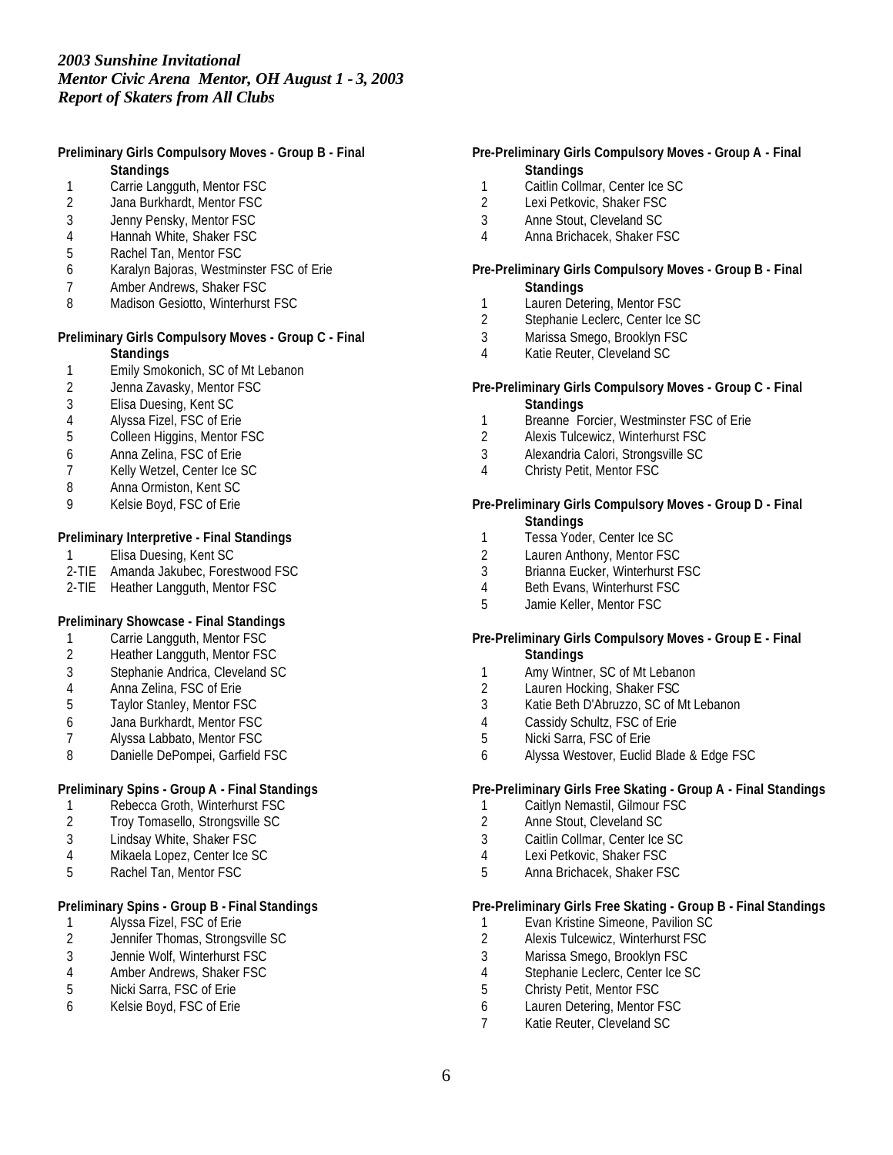### **Preliminary Girls Compulsory Moves - Group B - Final Standings**

- 1 Carrie Langguth, Mentor FSC<br>2 Jana Burkhardt, Mentor FSC
- Jana Burkhardt, Mentor FSC
- 3 Jenny Pensky, Mentor FSC
- 4 Hannah White, Shaker FSC
- Rachel Tan, Mentor FSC
- 6 Karalyn Bajoras, Westminster FSC of Erie
- 7 Amber Andrews, Shaker FSC
- 8 Madison Gesiotto, Winterhurst FSC

#### **Preliminary Girls Compulsory Moves - Group C - Final Standings**

- 1 Emily Smokonich, SC of Mt Lebanon
- 
- 2 Jenna Zavasky, Mentor FSC<br>3 Elisa Duesing, Kent SC 3 Elisa Duesing, Kent SC
- 4 Alyssa Fizel, FSC of Erie
- 5 Colleen Higgins, Mentor FSC
- 6 Anna Zelina, FSC of Erie
- 7 Kelly Wetzel, Center Ice SC
- 8 Anna Ormiston, Kent SC
- 9 Kelsie Boyd, FSC of Erie

# **Preliminary Interpretive - Final Standings**

- 1 Elisa Duesing, Kent SC
- 2-TIE Amanda Jakubec, Forestwood FSC
- 2-TIE Heather Langguth, Mentor FSC

# **Preliminary Showcase - Final Standings**

- 1 Carrie Langguth, Mentor FSC<br>2 Heather Langguth, Mentor FS
- Heather Langguth, Mentor FSC
- 3 Stephanie Andrica, Cleveland SC
- 4 Anna Zelina, FSC of Erie
- 5 Taylor Stanley, Mentor FSC
- 6 Jana Burkhardt, Mentor FSC
- Alyssa Labbato, Mentor FSC
- 8 Danielle DePompei, Garfield FSC

# **Preliminary Spins - Group A - Final Standings**

- 1 Rebecca Groth, Winterhurst FSC
- 2 Troy Tomasello, Strongsville SC
- 3 Lindsay White, Shaker FSC
- 4 Mikaela Lopez, Center Ice SC
- 5 Rachel Tan, Mentor FSC

# **Preliminary Spins - Group B - Final Standings**

- 1 Alyssa Fizel, FSC of Erie<br>2 Jennifer Thomas, Strongs
- 2 Jennifer Thomas, Strongsville SC
- 3 Jennie Wolf, Winterhurst FSC
- 4 Amber Andrews, Shaker FSC<br>5 Nicki Sarra, FSC of Erie
- Nicki Sarra, FSC of Erie
- 6 Kelsie Boyd, FSC of Erie

## **Pre-Preliminary Girls Compulsory Moves - Group A - Final Standings**

- 1 Caitlin Collmar, Center Ice SC<br>2 Lexi Petkovic, Shaker FSC
- Lexi Petkovic, Shaker FSC
- 3 Anne Stout, Cleveland SC
- 4 Anna Brichacek, Shaker FSC

#### **Pre-Preliminary Girls Compulsory Moves - Group B - Final Standings**

- 1 Lauren Detering, Mentor FSC
- 2 Stephanie Leclerc, Center Ice SC
- 3 Marissa Smego, Brooklyn FSC
- 4 Katie Reuter, Cleveland SC

### **Pre-Preliminary Girls Compulsory Moves - Group C - Final Standings**

- 1 Breanne Forcier, Westminster FSC of Erie
- 2 Alexis Tulcewicz, Winterhurst FSC
- 3 Alexandria Calori, Strongsville SC
- 4 Christy Petit, Mentor FSC

#### **Pre-Preliminary Girls Compulsory Moves - Group D - Final Standings**

- 1 Tessa Yoder, Center Ice SC
- 2 Lauren Anthony, Mentor FSC
- 3 Brianna Eucker, Winterhurst FSC
- 4 Beth Evans, Winterhurst FSC
- 5 Jamie Keller, Mentor FSC

### **Pre-Preliminary Girls Compulsory Moves - Group E - Final Standings**

- 1 Amy Wintner, SC of Mt Lebanon
- 2 Lauren Hocking, Shaker FSC
- 3 Katie Beth D'Abruzzo, SC of Mt Lebanon
- 4 Cassidy Schultz, FSC of Erie<br>5 Nicki Sarra, FSC of Erie
- Nicki Sarra, FSC of Erie
- 6 Alyssa Westover, Euclid Blade & Edge FSC

# **Pre-Preliminary Girls Free Skating - Group A - Final Standings**

- 1 Caitlyn Nemastil, Gilmour FSC
- 2 Anne Stout, Cleveland SC
- 3 Caitlin Collmar, Center Ice SC
- 4 Lexi Petkovic, Shaker FSC
- 5 Anna Brichacek, Shaker FSC

### **Pre-Preliminary Girls Free Skating - Group B - Final Standings**

- 1 Evan Kristine Simeone, Pavilion SC<br>2 Alexis Tulcewicz, Winterhurst FSC
- 2 Alexis Tulcewicz, Winterhurst FSC
- 3 Marissa Smego, Brooklyn FSC
- 4 Stephanie Leclerc, Center Ice SC<br>5 Christy Petit. Mentor FSC
- 5 Christy Petit, Mentor FSC
- 6 Lauren Detering, Mentor FSC
- 7 Katie Reuter, Cleveland SC